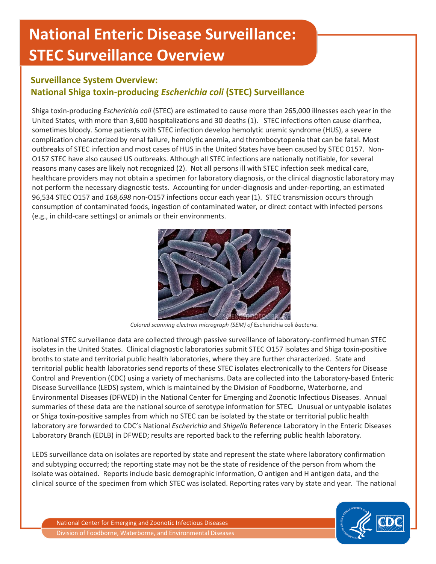# **National Enteric Disease Surveillance: STEC Surveillance Overview**

# **Surveillance System Overview: National Shiga toxin-producing** *Escherichia coli* **(STEC) Surveillance**

Shiga toxin-producing *Escherichia coli* (STEC) are estimated to cause more than 265,000 illnesses each year in the United States, with more than 3,600 hospitalizations and 30 deaths (1). STEC infections often cause diarrhea, sometimes bloody. Some patients with STEC infection develop hemolytic uremic syndrome (HUS), a severe complication characterized by renal failure, hemolytic anemia, and thrombocytopenia that can be fatal. Most outbreaks of STEC infection and most cases of HUS in the United States have been caused by STEC O157. Non-O157 STEC have also caused US outbreaks. Although all STEC infections are nationally notifiable, for several reasons many cases are likely not recognized (2). Not all persons ill with STEC infection seek medical care, healthcare providers may not obtain a specimen for laboratory diagnosis, or the clinical diagnostic laboratory may not perform the necessary diagnostic tests. Accounting for under-diagnosis and under-reporting, an estimated 96,534 STEC O157 and *168,698* non-O157 infections occur each year (1). STEC transmission occurs through consumption of contaminated foods, ingestion of contaminated water, or direct contact with infected persons (e.g., in child-care settings) or animals or their environments.



*Colored scanning electron micrograph (SEM) of* Escherichia coli *bacteria.* 

National STEC surveillance data are collected through passive surveillance of laboratory-confirmed human STEC isolates in the United States. Clinical diagnostic laboratories submit STEC O157 isolates and Shiga toxin-positive broths to state and territorial public health laboratories, where they are further characterized. State and territorial public health laboratories send reports of these STEC isolates electronically to the Centers for Disease Control and Prevention (CDC) using a variety of mechanisms. Data are collected into the Laboratory-based Enteric Disease Surveillance (LEDS) system, which is maintained by the Division of Foodborne, Waterborne, and Environmental Diseases (DFWED) in the National Center for Emerging and Zoonotic Infectious Diseases. Annual summaries of these data are the national source of serotype information for STEC. Unusual or untypable isolates or Shiga toxin-positive samples from which no STEC can be isolated by the state or territorial public health laboratory are forwarded to CDC's National *Escherichia* and *Shigella* Reference Laboratory in the Enteric Diseases Laboratory Branch (EDLB) in DFWED; results are reported back to the referring public health laboratory.

LEDS surveillance data on isolates are reported by state and represent the state where laboratory confirmation and subtyping occurred; the reporting state may not be the state of residence of the person from whom the isolate was obtained. Reports include basic demographic information, O antigen and H antigen data, and the clinical source of the specimen from which STEC was isolated. Reporting rates vary by state and year. The national

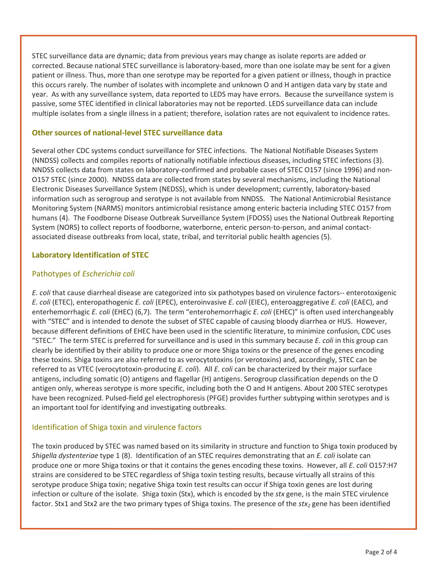STEC surveillance data are dynamic; data from previous years may change as isolate reports are added or corrected. Because national STEC surveillance is laboratory-based, more than one isolate may be sent for a given patient or illness. Thus, more than one serotype may be reported for a given patient or illness, though in practice this occurs rarely. The number of isolates with incomplete and unknown O and H antigen data vary by state and year. As with any surveillance system, data reported to LEDS may have errors. Because the surveillance system is passive, some STEC identified in clinical laboratories may not be reported. LEDS surveillance data can include multiple isolates from a single illness in a patient; therefore, isolation rates are not equivalent to incidence rates.

#### **Other sources of national-level STEC surveillance data**

Several other CDC systems conduct surveillance for STEC infections. The National Notifiable Diseases System (NNDSS) collects and compiles reports of nationally notifiable infectious diseases, including STEC infections (3). NNDSS collects data from states on laboratory-confirmed and probable cases of STEC O157 (since 1996) and non-O157 STEC (since 2000). NNDSS data are collected from states by several mechanisms, including the National Electronic Diseases Surveillance System (NEDSS), which is under development; currently, laboratory-based information such as serogroup and serotype is not available from NNDSS. The National Antimicrobial Resistance Monitoring System (NARMS) monitors antimicrobial resistance among enteric bacteria including STEC O157 from humans (4). The Foodborne Disease Outbreak Surveillance System (FDOSS) uses the National Outbreak Reporting System (NORS) to collect reports of foodborne, waterborne, enteric person-to-person, and animal contactassociated disease outbreaks from local, state, tribal, and territorial public health agencies (5).

#### **Laboratory Identification of STEC**

#### Pathotypes of *Escherichia coli*

*E. coli* that cause diarrheal disease are categorized into six pathotypes based on virulence factors-- enterotoxigenic *E. coli* (ETEC), enteropathogenic *E. coli* (EPEC), enteroinvasive *E. coli* (EIEC), enteroaggregative *E. coli* (EAEC), and enterhemorrhagic *E. coli* (EHEC) (6,7). The term "enterohemorrhagic *E. coli* (EHEC)" is often used interchangeably with "STEC" and is intended to denote the subset of STEC capable of causing bloody diarrhea or HUS. However, because different definitions of EHEC have been used in the scientific literature, to minimize confusion, CDC uses "STEC." The term STEC is preferred for surveillance and is used in this summary because *E. coli* in this group can clearly be identified by their ability to produce one or more Shiga toxins or the presence of the genes encoding these toxins. Shiga toxins are also referred to as verocytotoxins (or verotoxins) and, accordingly, STEC can be referred to as VTEC (verocytotoxin-producing *E. coli*). All *E. coli* can be characterized by their major surface antigens, including somatic (O) antigens and flagellar (H) antigens. Serogroup classification depends on the O antigen only, whereas serotype is more specific, including both the O and H antigens. About 200 STEC serotypes have been recognized. Pulsed-field gel electrophoresis (PFGE) provides further subtyping within serotypes and is an important tool for identifying and investigating outbreaks.

#### Identification of Shiga toxin and virulence factors

The toxin produced by STEC was named based on its similarity in structure and function to Shiga toxin produced by *Shigella dystenteriae* type 1 (8). Identification of an STEC requires demonstrating that an *E. coli* isolate can produce one or more Shiga toxins or that it contains the genes encoding these toxins. However, all *E. coli* O157:H7 strains are considered to be STEC regardless of Shiga toxin testing results, because virtually all strains of this serotype produce Shiga toxin; negative Shiga toxin test results can occur if Shiga toxin genes are lost during infection or culture of the isolate. Shiga toxin (Stx), which is encoded by the *stx* gene, is the main STEC virulence factor. Stx1 and Stx2 are the two primary types of Shiga toxins. The presence of the *stx2* gene has been identified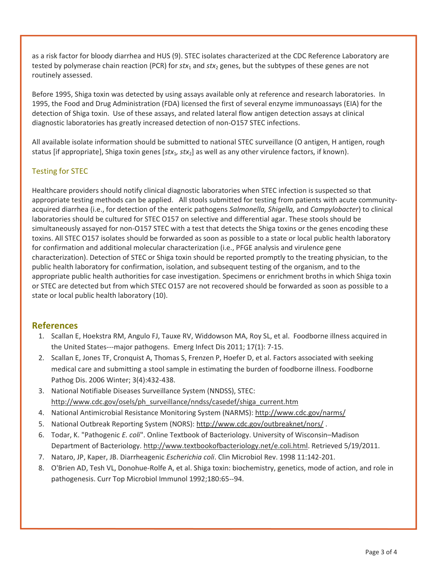as a risk factor for bloody diarrhea and HUS (9). STEC isolates characterized at the CDC Reference Laboratory are tested by polymerase chain reaction (PCR) for *stx*<sub>1</sub> and *stx*<sub>2</sub> genes, but the subtypes of these genes are not routinely assessed.

Before 1995, Shiga toxin was detected by using assays available only at reference and research laboratories. In 1995, the Food and Drug Administration (FDA) licensed the first of several enzyme immunoassays (EIA) for the detection of Shiga toxin. Use of these assays, and related lateral flow antigen detection assays at clinical diagnostic laboratories has greatly increased detection of non-O157 STEC infections.

All available isolate information should be submitted to national STEC surveillance (O antigen, H antigen, rough status [if appropriate], Shiga toxin genes [*stx<sub>1</sub>, stx*<sub>2</sub>] as well as any other virulence factors, if known).

### Testing for STEC

Healthcare providers should notify clinical diagnostic laboratories when STEC infection is suspected so that appropriate testing methods can be applied. All stools submitted for testing from patients with acute communityacquired diarrhea (i.e., for detection of the enteric pathogens *Salmonella, Shigella,* and *Campylobacter*) to clinical laboratories should be cultured for STEC O157 on selective and differential agar. These stools should be simultaneously assayed for non-O157 STEC with a test that detects the Shiga toxins or the genes encoding these toxins. All STEC O157 isolates should be forwarded as soon as possible to a state or local public health laboratory for confirmation and additional molecular characterization (i.e., PFGE analysis and virulence gene characterization). Detection of STEC or Shiga toxin should be reported promptly to the treating physician, to the public health laboratory for confirmation, isolation, and subsequent testing of the organism, and to the appropriate public health authorities for case investigation. Specimens or enrichment broths in which Shiga toxin or STEC are detected but from which STEC O157 are not recovered should be forwarded as soon as possible to a state or local public health laboratory (10).

## **References**

- 1. Scallan E, Hoekstra RM, Angulo FJ, Tauxe RV, Widdowson MA, Roy SL, et al. Foodborne illness acquired in the United States---major pathogens. Emerg Infect Dis 2011; 17(1): 7-15.
- 2. Scallan E, Jones TF, Cronquist A, Thomas S, Frenzen P, Hoefer D, et al. Factors associated with seeking medical care and submitting a stool sample in estimating the burden of foodborne illness. Foodborne Pathog Dis. 2006 Winter; 3(4):432-438.
- 3. National Notifiable Diseases Surveillance System (NNDSS), STEC: [http://www.cdc.gov/osels/ph\\_surveillance/nndss/casedef/shiga\\_current.htm](http://www.cdc.gov/osels/ph_surveillance/nndss/casedef/shiga_current.htm)
- 4. National Antimicrobial Resistance Monitoring System (NARMS):<http://www.cdc.gov/narms/>
- 5. National Outbreak Reporting System (NORS):<http://www.cdc.gov/outbreaknet/nors/>.
- 6. Todar, K. "Pathogenic *E. coli*". Online Textbook of Bacteriology. University of Wisconsin–Madison Department of Bacteriology[. http://www.textbookofbacteriology.net/e.coli.html.](http://www.textbookofbacteriology.net/e.coli.html) Retrieved 5/19/2011.
- 7. Nataro, JP, Kaper, JB. Diarrheagenic *Escherichia coli*. Clin Microbiol Rev. 1998 11:142-201.
- 8. O'Brien AD, Tesh VL, Donohue-Rolfe A, et al. Shiga toxin: biochemistry, genetics, mode of action, and role in pathogenesis. Curr Top Microbiol Immunol 1992;180:65--94.